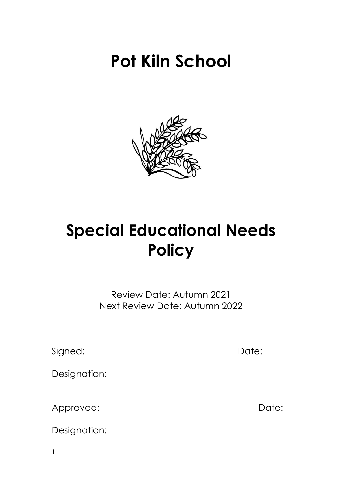# **Pot Kiln School**



# **Special Educational Needs Policy**

Review Date: Autumn 2021 Next Review Date: Autumn 2022

Signed: Date:

Designation:

Approved: Date:

Designation:

1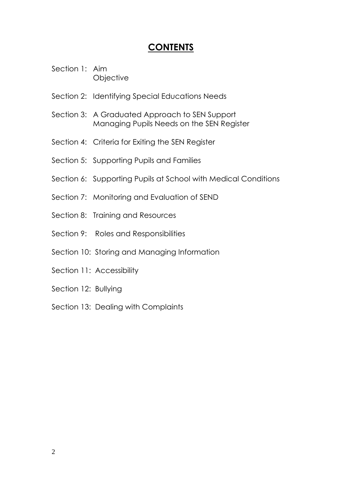# **CONTENTS**

Section 1: Aim **Objective** 

- Section 2: Identifying Special Educations Needs
- Section 3: A Graduated Approach to SEN Support Managing Pupils Needs on the SEN Register
- Section 4: Criteria for Exiting the SEN Register
- Section 5: Supporting Pupils and Families
- Section 6: Supporting Pupils at School with Medical Conditions
- Section 7: Monitoring and Evaluation of SEND
- Section 8: Training and Resources
- Section 9: Roles and Responsibilities
- Section 10: Storing and Managing Information
- Section 11: Accessibility
- Section 12: Bullying
- Section 13: Dealing with Complaints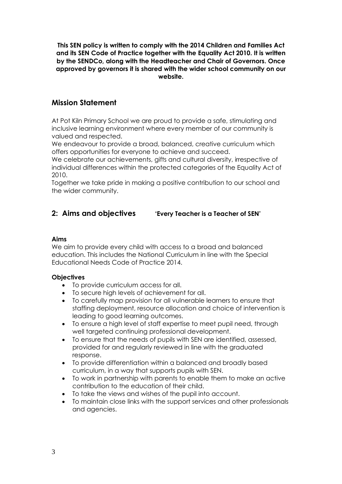**This SEN policy is written to comply with the 2014 Children and Families Act and its SEN Code of Practice together with the Equality Act 2010. It is written by the SENDCo, along with the Headteacher and Chair of Governors. Once approved by governors it is shared with the wider school community on our website.**

#### **Mission Statement**

At Pot Kiln Primary School we are proud to provide a safe, stimulating and inclusive learning environment where every member of our community is valued and respected.

We endeavour to provide a broad, balanced, creative curriculum which offers opportunities for everyone to achieve and succeed.

We celebrate our achievements, gifts and cultural diversity, irrespective of individual differences within the protected categories of the Equality Act of 2010.

Together we take pride in making a positive contribution to our school and the wider community.

## **2: Aims and objectives 'Every Teacher is a Teacher of SEN'**

#### **Aims**

We aim to provide every child with access to a broad and balanced education. This includes the National Curriculum in line with the Special Educational Needs Code of Practice 2014.

#### **Objectives**

- To provide curriculum access for all.
- To secure high levels of achievement for all.
- To carefully map provision for all vulnerable learners to ensure that staffing deployment, resource allocation and choice of intervention is leading to good learning outcomes.
- To ensure a high level of staff expertise to meet pupil need, through well targeted continuing professional development.
- To ensure that the needs of pupils with SEN are identified, assessed, provided for and regularly reviewed in line with the graduated response.
- To provide differentiation within a balanced and broadly based curriculum, in a way that supports pupils with SEN.
- To work in partnership with parents to enable them to make an active contribution to the education of their child.
- To take the views and wishes of the pupil into account.
- To maintain close links with the support services and other professionals and agencies.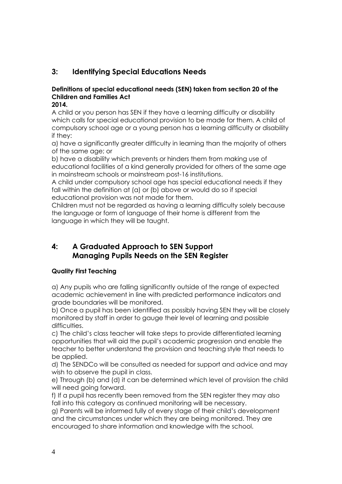# **3: Identifying Special Educations Needs**

## **Definitions of special educational needs (SEN) taken from section 20 of the Children and Families Act**

**2014.**

A child or you person has SEN if they have a learning difficulty or disability which calls for special educational provision to be made for them. A child of compulsory school age or a young person has a learning difficulty or disability if they:

a) have a significantly greater difficulty in learning than the majority of others of the same age; or

b) have a disability which prevents or hinders them from making use of educational facilities of a kind generally provided for others of the same age in mainstream schools or mainstream post-16 institutions.

A child under compulsory school age has special educational needs if they fall within the definition at (a) or (b) above or would do so if special educational provision was not made for them.

Children must not be regarded as having a learning difficulty solely because the language or form of language of their home is different from the language in which they will be taught.

# **4: A Graduated Approach to SEN Support Managing Pupils Needs on the SEN Register**

#### **Quality First Teaching**

a) Any pupils who are falling significantly outside of the range of expected academic achievement in line with predicted performance indicators and grade boundaries will be monitored.

b) Once a pupil has been identified as possibly having SEN they will be closely monitored by staff in order to gauge their level of learning and possible difficulties.

c) The child's class teacher will take steps to provide differentiated learning opportunities that will aid the pupil's academic progression and enable the teacher to better understand the provision and teaching style that needs to be applied.

d) The SENDCo will be consulted as needed for support and advice and may wish to observe the pupil in class.

e) Through (b) and (d) it can be determined which level of provision the child will need going forward.

f) If a pupil has recently been removed from the SEN register they may also fall into this category as continued monitoring will be necessary.

g) Parents will be informed fully of every stage of their child's development and the circumstances under which they are being monitored. They are encouraged to share information and knowledge with the school.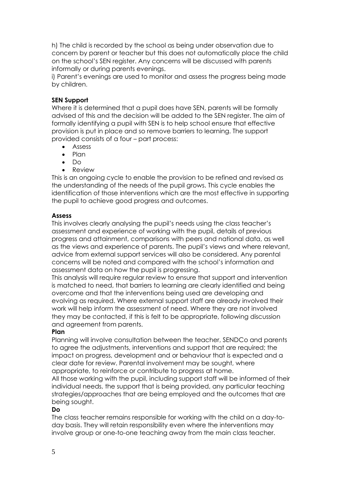h) The child is recorded by the school as being under observation due to concern by parent or teacher but this does not automatically place the child on the school's SEN register. Any concerns will be discussed with parents informally or during parents evenings.

i) Parent's evenings are used to monitor and assess the progress being made by children.

#### **SEN Support**

Where it is determined that a pupil does have SEN, parents will be formally advised of this and the decision will be added to the SEN register. The aim of formally identifying a pupil with SEN is to help school ensure that effective provision is put in place and so remove barriers to learning. The support provided consists of a four – part process:

- **Assess**
- Plan
- Do
- Review

This is an ongoing cycle to enable the provision to be refined and revised as the understanding of the needs of the pupil grows. This cycle enables the identification of those interventions which are the most effective in supporting the pupil to achieve good progress and outcomes.

#### **Assess**

This involves clearly analysing the pupil's needs using the class teacher's assessment and experience of working with the pupil, details of previous progress and attainment, comparisons with peers and national data, as well as the views and experience of parents. The pupil's views and where relevant, advice from external support services will also be considered. Any parental concerns will be noted and compared with the school's information and assessment data on how the pupil is progressing.

This analysis will require regular review to ensure that support and intervention is matched to need, that barriers to learning are clearly identified and being overcome and that the interventions being used are developing and evolving as required. Where external support staff are already involved their work will help inform the assessment of need. Where they are not involved they may be contacted, if this is felt to be appropriate, following discussion and agreement from parents.

#### **Plan**

Planning will involve consultation between the teacher, SENDCo and parents to agree the adjustments, interventions and support that are required; the impact on progress, development and or behaviour that is expected and a clear date for review. Parental involvement may be sought, where appropriate, to reinforce or contribute to progress at home.

All those working with the pupil, including support staff will be informed of their individual needs, the support that is being provided, any particular teaching strategies/approaches that are being employed and the outcomes that are being sought.

#### **Do**

The class teacher remains responsible for working with the child on a day-today basis. They will retain responsibility even where the interventions may involve group or one-to-one teaching away from the main class teacher.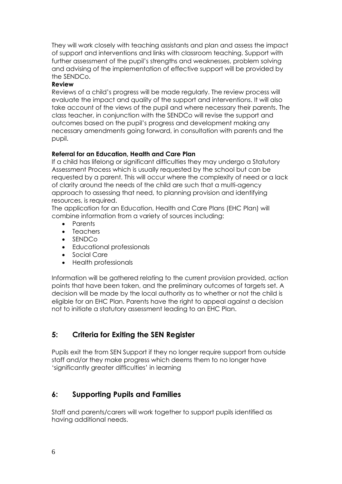They will work closely with teaching assistants and plan and assess the impact of support and interventions and links with classroom teaching. Support with further assessment of the pupil's strengths and weaknesses, problem solving and advising of the implementation of effective support will be provided by the SENDCo.

#### **Review**

Reviews of a child's progress will be made regularly. The review process will evaluate the impact and quality of the support and interventions. It will also take account of the views of the pupil and where necessary their parents. The class teacher, in conjunction with the SENDCo will revise the support and outcomes based on the pupil's progress and development making any necessary amendments going forward, in consultation with parents and the pupil.

#### **Referral for an Education, Health and Care Plan**

If a child has lifelong or significant difficulties they may undergo a Statutory Assessment Process which is usually requested by the school but can be requested by a parent. This will occur where the complexity of need or a lack of clarity around the needs of the child are such that a multi-agency approach to assessing that need, to planning provision and identifying resources, is required.

The application for an Education, Health and Care Plans (EHC Plan) will combine information from a variety of sources including:

- Parents
- Teachers
- SENDCo
- Educational professionals
- Social Care
- Health professionals

Information will be gathered relating to the current provision provided, action points that have been taken, and the preliminary outcomes of targets set. A decision will be made by the local authority as to whether or not the child is eligible for an EHC Plan. Parents have the right to appeal against a decision not to initiate a statutory assessment leading to an EHC Plan.

## **5: Criteria for Exiting the SEN Register**

Pupils exit the from SEN Support if they no longer require support from outside staff and/or they make progress which deems them to no longer have 'significantly greater difficulties' in learning

## **6: Supporting Pupils and Families**

Staff and parents/carers will work together to support pupils identified as having additional needs.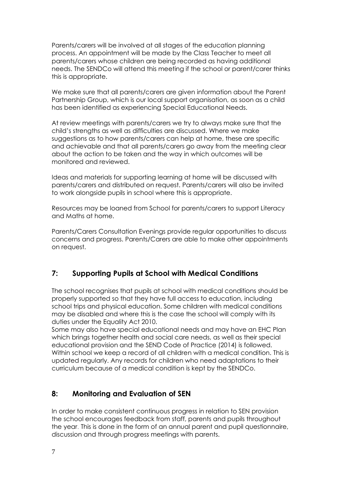Parents/carers will be involved at all stages of the education planning process. An appointment will be made by the Class Teacher to meet all parents/carers whose children are being recorded as having additional needs. The SENDCo will attend this meeting if the school or parent/carer thinks this is appropriate.

We make sure that all parents/carers are given information about the Parent Partnership Group, which is our local support organisation, as soon as a child has been identified as experiencing Special Educational Needs.

At review meetings with parents/carers we try to always make sure that the child's strengths as well as difficulties are discussed. Where we make suggestions as to how parents/carers can help at home, these are specific and achievable and that all parents/carers go away from the meeting clear about the action to be taken and the way in which outcomes will be monitored and reviewed.

Ideas and materials for supporting learning at home will be discussed with parents/carers and distributed on request. Parents/carers will also be invited to work alongside pupils in school where this is appropriate.

Resources may be loaned from School for parents/carers to support Literacy and Maths at home.

Parents/Carers Consultation Evenings provide regular opportunities to discuss concerns and progress. Parents/Carers are able to make other appointments on request.

## **7: Supporting Pupils at School with Medical Conditions**

The school recognises that pupils at school with medical conditions should be properly supported so that they have full access to education, including school trips and physical education. Some children with medical conditions may be disabled and where this is the case the school will comply with its duties under the Equality Act 2010.

Some may also have special educational needs and may have an EHC Plan which brings together health and social care needs, as well as their special educational provision and the SEND Code of Practice (2014) is followed. Within school we keep a record of all children with a medical condition. This is updated regularly. Any records for children who need adaptations to their curriculum because of a medical condition is kept by the SENDCo.

## **8: Monitoring and Evaluation of SEN**

In order to make consistent continuous progress in relation to SEN provision the school encourages feedback from staff, parents and pupils throughout the year. This is done in the form of an annual parent and pupil questionnaire, discussion and through progress meetings with parents.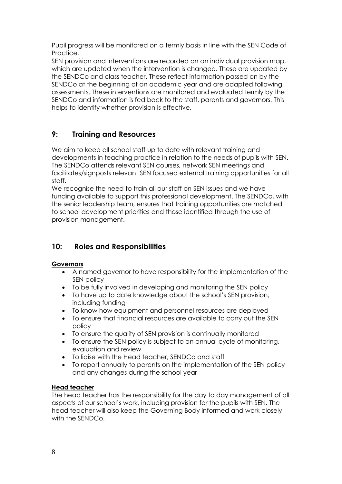Pupil progress will be monitored on a termly basis in line with the SEN Code of Practice.

SEN provision and interventions are recorded on an individual provision map, which are updated when the intervention is changed. These are updated by the SENDCo and class teacher. These reflect information passed on by the SENDCo at the beginning of an academic year and are adapted following assessments. These interventions are monitored and evaluated termly by the SENDCo and information is fed back to the staff, parents and governors. This helps to identify whether provision is effective.

# **9: Training and Resources**

We aim to keep all school staff up to date with relevant training and developments in teaching practice in relation to the needs of pupils with SEN. The SENDCo attends relevant SEN courses, network SEN meetings and facilitates/signposts relevant SEN focused external training opportunities for all staff.

We recognise the need to train all our staff on SEN issues and we have funding available to support this professional development. The SENDCo, with the senior leadership team, ensures that training opportunities are matched to school development priorities and those identified through the use of provision management.

# **10: Roles and Responsibilities**

#### **Governors**

- A named governor to have responsibility for the implementation of the SEN policy
- To be fully involved in developing and monitoring the SEN policy
- To have up to date knowledge about the school's SEN provision, including funding
- To know how equipment and personnel resources are deployed
- To ensure that financial resources are available to carry out the SEN policy
- To ensure the quality of SEN provision is continually monitored
- To ensure the SEN policy is subject to an annual cycle of monitoring, evaluation and review
- To liaise with the Head teacher, SENDCo and staff
- To report annually to parents on the implementation of the SEN policy and any changes during the school year

### **Head teacher**

The head teacher has the responsibility for the day to day management of all aspects of our school's work, including provision for the pupils with SEN. The head teacher will also keep the Governing Body informed and work closely with the SENDCo.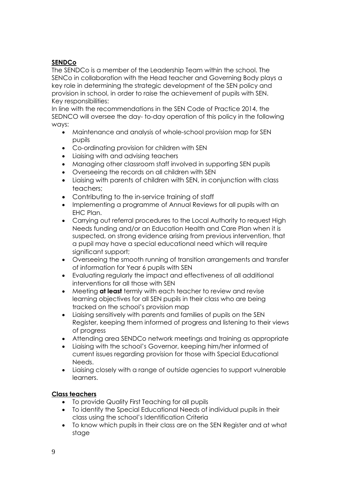#### **SENDCo**

The SENDCo is a member of the Leadership Team within the school. The SENCo in collaboration with the Head teacher and Governing Body plays a key role in determining the strategic development of the SEN policy and provision in school, in order to raise the achievement of pupils with SEN. Key responsibilities:

In line with the recommendations in the SEN Code of Practice 2014, the SEDNCO will oversee the day- to-day operation of this policy in the following ways:

- Maintenance and analysis of whole-school provision map for SEN pupils
- Co-ordinating provision for children with SEN
- Liaising with and advising teachers
- Managing other classroom staff involved in supporting SEN pupils
- Overseeing the records on all children with SEN
- Liaising with parents of children with SEN, in conjunction with class teachers;
- Contributing to the in-service training of staff
- Implementing a programme of Annual Reviews for all pupils with an EHC Plan.
- Carrying out referral procedures to the Local Authority to request High Needs funding and/or an Education Health and Care Plan when it is suspected, on strong evidence arising from previous intervention, that a pupil may have a special educational need which will require significant support;
- Overseeing the smooth running of transition arrangements and transfer of information for Year 6 pupils with SEN
- Evaluating regularly the impact and effectiveness of all additional interventions for all those with SEN
- Meeting **at least** termly with each teacher to review and revise learning objectives for all SEN pupils in their class who are being tracked on the school's provision map
- Liaising sensitively with parents and families of pupils on the SEN Register, keeping them informed of progress and listening to their views of progress
- Attending area SENDCo network meetings and training as appropriate
- Liaising with the school's Governor, keeping him/her informed of current issues regarding provision for those with Special Educational Needs.
- Liaising closely with a range of outside agencies to support vulnerable learners.

#### **Class teachers**

- To provide Quality First Teaching for all pupils
- To identify the Special Educational Needs of individual pupils in their class using the school's Identification Criteria
- To know which pupils in their class are on the SEN Register and at what stage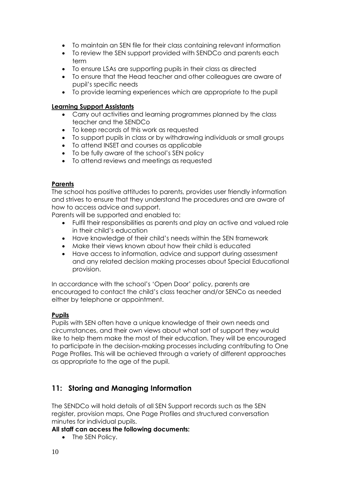- To maintain an SEN file for their class containing relevant information
- To review the SEN support provided with SENDCo and parents each term
- To ensure LSAs are supporting pupils in their class as directed
- To ensure that the Head teacher and other colleagues are aware of pupil's specific needs
- To provide learning experiences which are appropriate to the pupil

#### **Learning Support Assistants**

- Carry out activities and learning programmes planned by the class teacher and the SENDCo
- To keep records of this work as requested
- To support pupils in class or by withdrawing individuals or small groups
- To attend INSET and courses as applicable
- To be fully aware of the school's SEN policy
- To attend reviews and meetings as requested

#### **Parents**

The school has positive attitudes to parents, provides user friendly information and strives to ensure that they understand the procedures and are aware of how to access advice and support.

Parents will be supported and enabled to:

- Fulfil their responsibilities as parents and play an active and valued role in their child's education
- Have knowledge of their child's needs within the SEN framework
- Make their views known about how their child is educated
- Have access to information, advice and support during assessment and any related decision making processes about Special Educational provision.

In accordance with the school's 'Open Door' policy, parents are encouraged to contact the child's class teacher and/or SENCo as needed either by telephone or appointment.

#### **Pupils**

Pupils with SEN often have a unique knowledge of their own needs and circumstances, and their own views about what sort of support they would like to help them make the most of their education. They will be encouraged to participate in the decision-making processes including contributing to One Page Profiles. This will be achieved through a variety of different approaches as appropriate to the age of the pupil.

### **11: Storing and Managing Information**

The SENDCo will hold details of all SEN Support records such as the SEN register, provision maps, One Page Profiles and structured conversation minutes for individual pupils.

#### **All staff can access the following documents:**

• The SEN Policy.